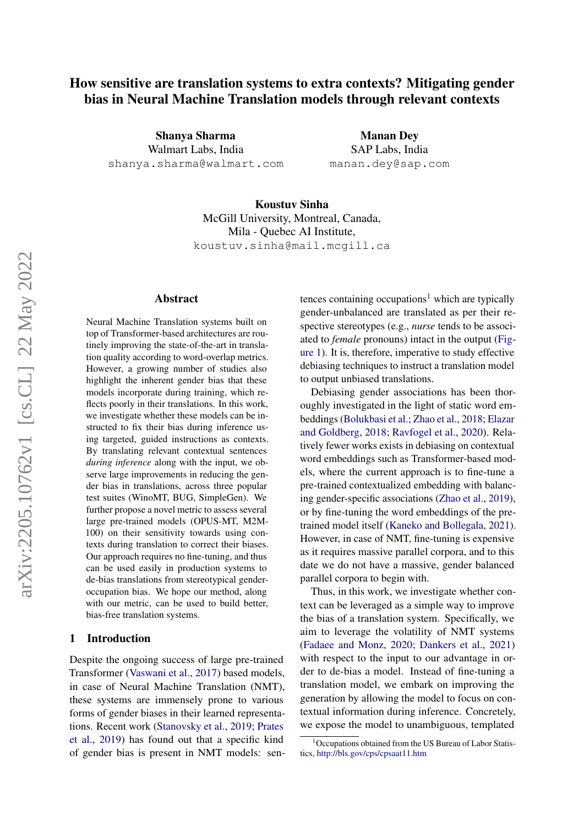# How sensitive are translation systems to extra contexts? Mitigating gender bias in Neural Machine Translation models through relevant contexts

Shanya Sharma Walmart Labs, India shanya.sharma@walmart.com

Manan Dey SAP Labs, India manan.dey@sap.com

Koustuv Sinha McGill University, Montreal, Canada, Mila - Quebec AI Institute, koustuv.sinha@mail.mcgill.ca

#### Abstract

Neural Machine Translation systems built on top of Transformer-based architectures are routinely improving the state-of-the-art in translation quality according to word-overlap metrics. However, a growing number of studies also highlight the inherent gender bias that these models incorporate during training, which reflects poorly in their translations. In this work, we investigate whether these models can be instructed to fix their bias during inference using targeted, guided instructions as contexts. By translating relevant contextual sentences *during inference* along with the input, we observe large improvements in reducing the gender bias in translations, across three popular test suites (WinoMT, BUG, SimpleGen). We further propose a novel metric to assess several large pre-trained models (OPUS-MT, M2M-100) on their sensitivity towards using contexts during translation to correct their biases. Our approach requires no fine-tuning, and thus can be used easily in production systems to de-bias translations from stereotypical genderoccupation bias. We hope our method, along with our metric, can be used to build better, bias-free translation systems.

#### 1 Introduction

Despite the ongoing success of large pre-trained Transformer [\(Vaswani et al.,](#page-8-0) [2017\)](#page-8-0) based models, in case of Neural Machine Translation (NMT), these systems are immensely prone to various forms of gender biases in their learned representations. Recent work [\(Stanovsky et al.,](#page-8-1) [2019;](#page-8-1) [Prates](#page-7-0) [et al.,](#page-7-0) [2019\)](#page-7-0) has found out that a specific kind of gender bias is present in NMT models: sentences containing occupations<sup>[1](#page-0-0)</sup> which are typically gender-unbalanced are translated as per their respective stereotypes (e.g., *nurse* tends to be associated to *female* pronouns) intact in the output [\(Fig](#page-1-0)[ure 1\)](#page-1-0). It is, therefore, imperative to study effective debiasing techniques to instruct a translation model to output unbiased translations.

Debiasing gender associations has been thoroughly investigated in the light of static word embeddings [\(Bolukbasi et al.;](#page-7-1) [Zhao et al.,](#page-8-2) [2018;](#page-8-2) [Elazar](#page-7-2) [and Goldberg,](#page-7-2) [2018;](#page-7-2) [Ravfogel et al.,](#page-7-3) [2020\)](#page-7-3). Relatively fewer works exists in debiasing on contextual word embeddings such as Transformer-based models, where the current approach is to fine-tune a pre-trained contextualized embedding with balancing gender-specific associations [\(Zhao et al.,](#page-8-3) [2019\)](#page-8-3), or by fine-tuning the word embeddings of the pretrained model itself [\(Kaneko and Bollegala,](#page-7-4) [2021\)](#page-7-4). However, in case of NMT, fine-tuning is expensive as it requires massive parallel corpora, and to this date we do not have a massive, gender balanced parallel corpora to begin with.

Thus, in this work, we investigate whether context can be leveraged as a simple way to improve the bias of a translation system. Specifically, we aim to leverage the volatility of NMT systems [\(Fadaee and Monz,](#page-7-5) [2020;](#page-7-5) [Dankers et al.,](#page-7-6) [2021\)](#page-7-6) with respect to the input to our advantage in order to de-bias a model. Instead of fine-tuning a translation model, we embark on improving the generation by allowing the model to focus on contextual information during inference. Concretely, we expose the model to unambiguous, templated

<span id="page-0-0"></span> $1$ Occupations obtained from the US Bureau of Labor Statistics, <http://bls.gov/cps/cpsaat11.htm>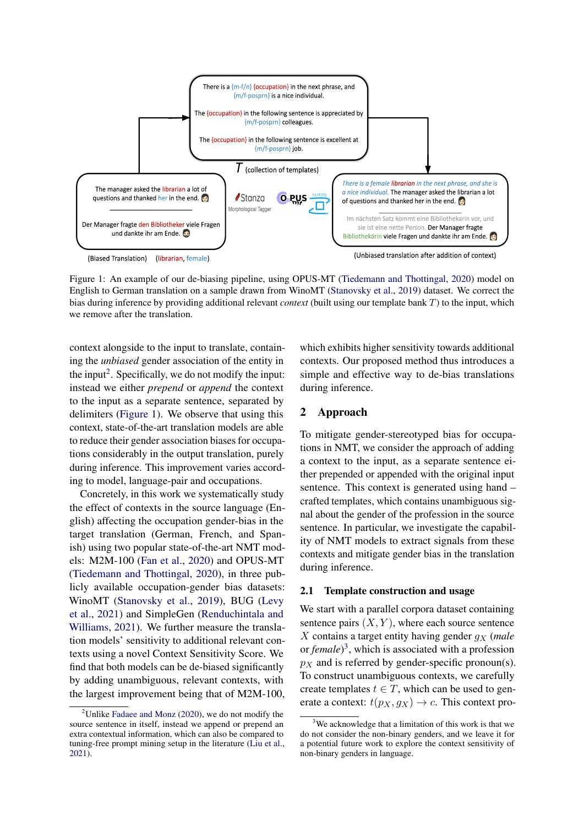<span id="page-1-0"></span>

Figure 1: An example of our de-biasing pipeline, using OPUS-MT [\(Tiedemann and Thottingal,](#page-8-4) [2020\)](#page-8-4) model on English to German translation on a sample drawn from WinoMT [\(Stanovsky et al.,](#page-8-1) [2019\)](#page-8-1) dataset. We correct the bias during inference by providing additional relevant *context* (built using our template bank T) to the input, which we remove after the translation.

context alongside to the input to translate, containing the *unbiased* gender association of the entity in the input<sup>[2](#page-1-1)</sup>. Specifically, we do not modify the input: instead we either *prepend* or *append* the context to the input as a separate sentence, separated by delimiters [\(Figure 1\)](#page-1-0). We observe that using this context, state-of-the-art translation models are able to reduce their gender association biases for occupations considerably in the output translation, purely during inference. This improvement varies according to model, language-pair and occupations.

Concretely, in this work we systematically study the effect of contexts in the source language (English) affecting the occupation gender-bias in the target translation (German, French, and Spanish) using two popular state-of-the-art NMT models: M2M-100 [\(Fan et al.,](#page-7-7) [2020\)](#page-7-7) and OPUS-MT [\(Tiedemann and Thottingal,](#page-8-4) [2020\)](#page-8-4), in three publicly available occupation-gender bias datasets: WinoMT [\(Stanovsky et al.,](#page-8-1) [2019\)](#page-8-1), BUG [\(Levy](#page-7-8) [et al.,](#page-7-8) [2021\)](#page-7-8) and SimpleGen [\(Renduchintala and](#page-7-9) [Williams,](#page-7-9) [2021\)](#page-7-9). We further measure the translation models' sensitivity to additional relevant contexts using a novel Context Sensitivity Score. We find that both models can be de-biased significantly by adding unambiguous, relevant contexts, with the largest improvement being that of M2M-100, which exhibits higher sensitivity towards additional contexts. Our proposed method thus introduces a simple and effective way to de-bias translations during inference.

#### <span id="page-1-3"></span>2 Approach

To mitigate gender-stereotyped bias for occupations in NMT, we consider the approach of adding a context to the input, as a separate sentence either prepended or appended with the original input sentence. This context is generated using hand – crafted templates, which contains unambiguous signal about the gender of the profession in the source sentence. In particular, we investigate the capability of NMT models to extract signals from these contexts and mitigate gender bias in the translation during inference.

### 2.1 Template construction and usage

We start with a parallel corpora dataset containing sentence pairs  $(X, Y)$ , where each source sentence X contains a target entity having gender g<sup>X</sup> (*male* or *female*)<sup>[3](#page-1-2)</sup>, which is associated with a profession  $p_X$  and is referred by gender-specific pronoun(s). To construct unambiguous contexts, we carefully create templates  $t \in T$ , which can be used to generate a context:  $t(p_X, g_X) \rightarrow c$ . This context pro-

<span id="page-1-1"></span><sup>&</sup>lt;sup>2</sup>Unlike [Fadaee and Monz](#page-7-5) [\(2020\)](#page-7-5), we do not modify the source sentence in itself, instead we append or prepend an extra contextual information, which can also be compared to tuning-free prompt mining setup in the literature [\(Liu et al.,](#page-7-10) [2021\)](#page-7-10).

<span id="page-1-2"></span> $3$ We acknowledge that a limitation of this work is that we do not consider the non-binary genders, and we leave it for a potential future work to explore the context sensitivity of non-binary genders in language.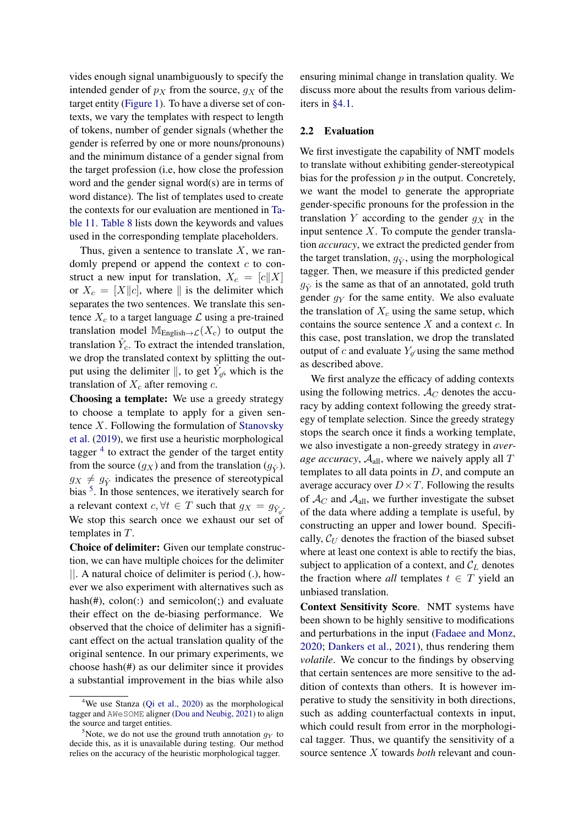vides enough signal unambiguously to specify the intended gender of  $p<sub>X</sub>$  from the source,  $q<sub>X</sub>$  of the target entity [\(Figure 1\)](#page-1-0). To have a diverse set of contexts, we vary the templates with respect to length of tokens, number of gender signals (whether the gender is referred by one or more nouns/pronouns) and the minimum distance of a gender signal from the target profession (i.e, how close the profession word and the gender signal word(s) are in terms of word distance). The list of templates used to create the contexts for our evaluation are mentioned in [Ta](#page-11-0)[ble 11.](#page-11-0) [Table 8](#page-9-0) lists down the keywords and values used in the corresponding template placeholders.

Thus, given a sentence to translate  $X$ , we randomly prepend or append the context  $c$  to construct a new input for translation,  $X_c = [c||X]$ or  $X_c = [X||c]$ , where  $\parallel$  is the delimiter which separates the two sentences. We translate this sentence  $X_c$  to a target language  $\mathcal L$  using a pre-trained translation model  $M_{English \rightarrow \mathcal{L}}(X_c)$  to output the translation  $\hat{Y}_c$ . To extract the intended translation, we drop the translated context by splitting the output using the delimiter  $\parallel$ , to get  $\hat{Y}_{q}$ , which is the translation of  $X_c$  after removing c.

Choosing a template: We use a greedy strategy to choose a template to apply for a given sentence  $X$ . Following the formulation of [Stanovsky](#page-8-1) [et al.](#page-8-1) [\(2019\)](#page-8-1), we first use a heuristic morphological tagger<sup>[4](#page-2-0)</sup> to extract the gender of the target entity from the source  $(g_X)$  and from the translation  $(g_{\hat{Y}})$ .  $g_X \neq g_{\hat{Y}}$  indicates the presence of stereotypical bias <sup>[5](#page-2-1)</sup>. In those sentences, we iteratively search for a relevant context  $c, \forall t \in T$  such that  $g_X = g_{\hat{Y}_{q}}$ . We stop this search once we exhaust our set of templates in T.

Choice of delimiter: Given our template construction, we can have multiple choices for the delimiter ||. A natural choice of delimiter is period (.), however we also experiment with alternatives such as hash $(\#)$ , colon $(\cdot)$  and semicolon $(\cdot)$  and evaluate their effect on the de-biasing performance. We observed that the choice of delimiter has a significant effect on the actual translation quality of the original sentence. In our primary experiments, we choose hash(#) as our delimiter since it provides a substantial improvement in the bias while also

ensuring minimal change in translation quality. We discuss more about the results from various delimiters in [§4.1.](#page-4-0)

#### 2.2 Evaluation

We first investigate the capability of NMT models to translate without exhibiting gender-stereotypical bias for the profession  $p$  in the output. Concretely, we want the model to generate the appropriate gender-specific pronouns for the profession in the translation Y according to the gender  $g_X$  in the input sentence  $X$ . To compute the gender translation *accuracy*, we extract the predicted gender from the target translation,  $g_{\hat{Y}}$ , using the morphological tagger. Then, we measure if this predicted gender  $g_{\hat{V}}$  is the same as that of an annotated, gold truth gender  $g<sub>Y</sub>$  for the same entity. We also evaluate the translation of  $X_c$  using the same setup, which contains the source sentence  $X$  and a context  $c$ . In this case, post translation, we drop the translated output of c and evaluate  $Y_{\alpha}$  using the same method as described above.

We first analyze the efficacy of adding contexts using the following metrics.  $\mathcal{A}_{C}$  denotes the accuracy by adding context following the greedy strategy of template selection. Since the greedy strategy stops the search once it finds a working template, we also investigate a non-greedy strategy in *average accuracy*,  $A_{all}$ , where we naively apply all T templates to all data points in  $D$ , and compute an average accuracy over  $D \times T$ . Following the results of  $\mathcal{A}_{C}$  and  $\mathcal{A}_{all}$ , we further investigate the subset of the data where adding a template is useful, by constructing an upper and lower bound. Specifically,  $C_U$  denotes the fraction of the biased subset where at least one context is able to rectify the bias, subject to application of a context, and  $C_L$  denotes the fraction where *all* templates  $t \in T$  yield an unbiased translation.

Context Sensitivity Score. NMT systems have been shown to be highly sensitive to modifications and perturbations in the input [\(Fadaee and Monz,](#page-7-5) [2020;](#page-7-5) [Dankers et al.,](#page-7-6) [2021\)](#page-7-6), thus rendering them *volatile*. We concur to the findings by observing that certain sentences are more sensitive to the addition of contexts than others. It is however imperative to study the sensitivity in both directions, such as adding counterfactual contexts in input, which could result from error in the morphological tagger. Thus, we quantify the sensitivity of a source sentence X towards *both* relevant and coun-

<span id="page-2-0"></span><sup>&</sup>lt;sup>4</sup>We use Stanza [\(Qi et al.,](#page-7-11) [2020\)](#page-7-11) as the morphological tagger and AWeSOME aligner [\(Dou and Neubig,](#page-7-12) [2021\)](#page-7-12) to align the source and target entities.

<span id="page-2-1"></span><sup>&</sup>lt;sup>5</sup>Note, we do not use the ground truth annotation  $g_Y$  to decide this, as it is unavailable during testing. Our method relies on the accuracy of the heuristic morphological tagger.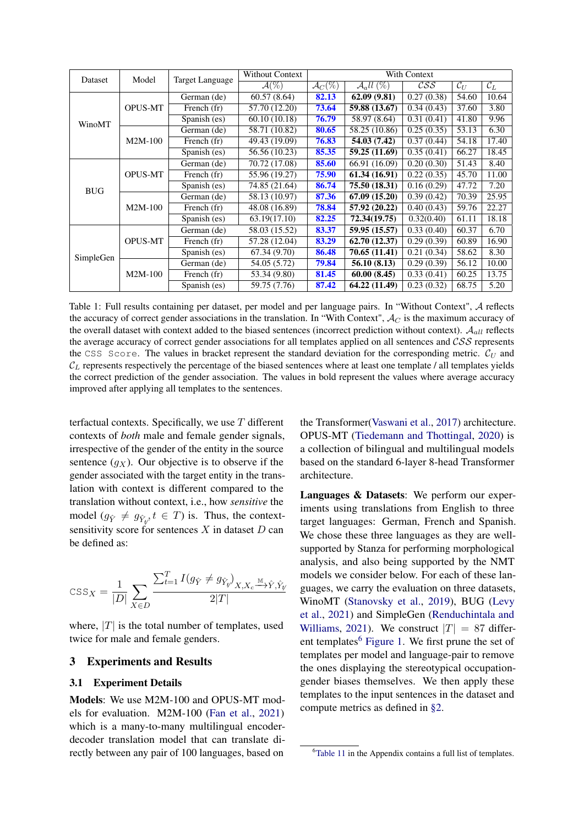<span id="page-3-1"></span>

| Dataset    | Model          | <b>Target Language</b> | <b>Without Context</b>       |                       |                                             | With Context                        |                   |                 |  |  |  |
|------------|----------------|------------------------|------------------------------|-----------------------|---------------------------------------------|-------------------------------------|-------------------|-----------------|--|--|--|
|            |                |                        | $\overline{\mathcal{A}(\%)}$ | $\mathcal{A}_{C}(\%)$ | $\mathcal{A}_all(\overline{\mathcal{C}_0})$ | $\mathcal{C}\mathcal{S}\mathcal{S}$ | $\mathcal{C}_{U}$ | $\mathcal{C}_L$ |  |  |  |
| WinoMT     |                | German (de)            | 60.57(8.64)                  | 82.13                 | 62.09(9.81)                                 | 0.27(0.38)                          | 54.60             | 10.64           |  |  |  |
|            | <b>OPUS-MT</b> | French (fr)            | 57.70 (12.20)                | 73.64                 | 59.88 (13.67)                               | 0.34(0.43)                          | 37.60             | 3.80            |  |  |  |
|            |                | Spanish (es)           | 60.10(10.18)                 | 76.79                 | 58.97 (8.64)                                | 0.31(0.41)                          | 41.80             | 9.96            |  |  |  |
|            |                | German (de)            | 58.71 (10.82)                | 80.65                 | 58.25 (10.86)                               | 0.25(0.35)                          | 53.13             | 6.30            |  |  |  |
|            | M2M-100        | French (fr)            | 49.43 (19.09)                | 76.83                 | 54.03 (7.42)                                | 0.37(0.44)                          | 54.18             | 17.40           |  |  |  |
|            |                | Spanish (es)           | 56.56 (10.23)                | 85.35                 | 59.25 (11.69)                               | $\overline{0.35}$ (0.41)            | 66.27             | 18.45           |  |  |  |
|            |                | German (de)            | 70.72 (17.08)                | 85.60                 | 66.91 (16.09)                               | 0.20(0.30)                          | 51.43             | 8.40            |  |  |  |
|            | <b>OPUS-MT</b> | French (fr)            | 55.96 (19.27)                | 75.90                 | $61.34 \overline{(16.91)}$                  | 0.22(0.35)                          | 45.70             | 11.00           |  |  |  |
| <b>BUG</b> |                | Spanish (es)           | 74.85 (21.64)                | 86.74                 | 75.50 (18.31)                               | 0.16(0.29)                          | 47.72             | 7.20            |  |  |  |
|            |                | German (de)            | 58.13 (10.97)                | 87.36                 | 67.09 (15.20)                               | 0.39(0.42)                          | 70.39             | 25.95           |  |  |  |
|            | M2M-100        | French (fr)            | 48.08 (16.89)                | 78.84                 | 57.92 (20.22)                               | 0.40(0.43)                          | 59.76             | 22.27           |  |  |  |
|            |                | Spanish (es)           | 63.19(17.10)                 | 82.25                 | 72.34(19.75)                                | 0.32(0.40)                          | 61.11             | 18.18           |  |  |  |
|            |                | German (de)            | 58.03 (15.52)                | 83.37                 | 59.95 (15.57)                               | 0.33(0.40)                          | 60.37             | 6.70            |  |  |  |
|            | <b>OPUS-MT</b> | French (fr)            | 57.28 (12.04)                | 83.29                 | 62.70(12.37)                                | 0.29(0.39)                          | 60.89             | 16.90           |  |  |  |
| SimpleGen  |                | Spanish (es)           | 67.34(9.70)                  | 86.48                 | 70.65 (11.41)                               | 0.21(0.34)                          | 58.62             | 8.30            |  |  |  |
|            |                | German (de)            | 54.05 (5.72)                 | 79.84                 | 56.10 (8.13)                                | 0.29(0.39)                          | 56.12             | 10.00           |  |  |  |
|            | M2M-100        | French (fr)            | 53.34 (9.80)                 | 81.45                 | 60.00(8.45)                                 | 0.33(0.41)                          | 60.25             | 13.75           |  |  |  |
|            |                | Spanish (es)           | 59.75 (7.76)                 | 87.42                 | 64.22 (11.49)                               | 0.23(0.32)                          | 68.75             | 5.20            |  |  |  |

Table 1: Full results containing per dataset, per model and per language pairs. In "Without Context", A reflects the accuracy of correct gender associations in the translation. In "With Context",  $A_C$  is the maximum accuracy of the overall dataset with context added to the biased sentences (incorrect prediction without context).  $A_{all}$  reflects the average accuracy of correct gender associations for all templates applied on all sentences and  $CSS$  represents the CSS Score. The values in bracket represent the standard deviation for the corresponding metric.  $C_U$  and  $C_L$  represents respectively the percentage of the biased sentences where at least one template / all templates yields the correct prediction of the gender association. The values in bold represent the values where average accuracy improved after applying all templates to the sentences.

terfactual contexts. Specifically, we use  $T$  different contexts of *both* male and female gender signals, irrespective of the gender of the entity in the source sentence  $(g_X)$ . Our objective is to observe if the gender associated with the target entity in the translation with context is different compared to the translation without context, i.e., how *sensitive* the model  $(g_{\hat{Y}} \neq g_{\hat{Y}_V}, t \in T)$  is. Thus, the contextsensitivity score for sentences  $X$  in dataset  $D$  can be defined as:

$$
\text{CSS}_X = \frac{1}{|D|}\sum_{X \in D}\frac{\sum_{t=1}^T I(g_{\hat{Y}} \neq g_{\hat{Y}_\text{F}})_{X,X_c} \xrightarrow{\text{M}} \hat{Y}, \hat{Y}_\text{F}}{2|T|}
$$

where,  $|T|$  is the total number of templates, used twice for male and female genders.

### 3 Experiments and Results

#### 3.1 Experiment Details

Models: We use M2M-100 and OPUS-MT models for evaluation. M2M-100 [\(Fan et al.,](#page-7-13) [2021\)](#page-7-13) which is a many-to-many multilingual encoderdecoder translation model that can translate directly between any pair of 100 languages, based on

the Transformer[\(Vaswani et al.,](#page-8-0) [2017\)](#page-8-0) architecture. OPUS-MT [\(Tiedemann and Thottingal,](#page-8-4) [2020\)](#page-8-4) is a collection of bilingual and multilingual models based on the standard 6-layer 8-head Transformer architecture.

Languages & Datasets: We perform our experiments using translations from English to three target languages: German, French and Spanish. We chose these three languages as they are wellsupported by Stanza for performing morphological analysis, and also being supported by the NMT models we consider below. For each of these languages, we carry the evaluation on three datasets, WinoMT [\(Stanovsky et al.,](#page-8-1) [2019\)](#page-8-1), BUG [\(Levy](#page-7-8) [et al.,](#page-7-8) [2021\)](#page-7-8) and SimpleGen [\(Renduchintala and](#page-7-9) [Williams,](#page-7-9) [2021\)](#page-7-9). We construct  $|T| = 87$  differ-ent templates<sup>[6](#page-3-0)</sup> [Figure 1.](#page-1-0) We first prune the set of templates per model and language-pair to remove the ones displaying the stereotypical occupationgender biases themselves. We then apply these templates to the input sentences in the dataset and compute metrics as defined in [§2.](#page-1-3)

<span id="page-3-0"></span><sup>&</sup>lt;sup>6</sup>[Table 11](#page-11-0) in the Appendix contains a full list of templates.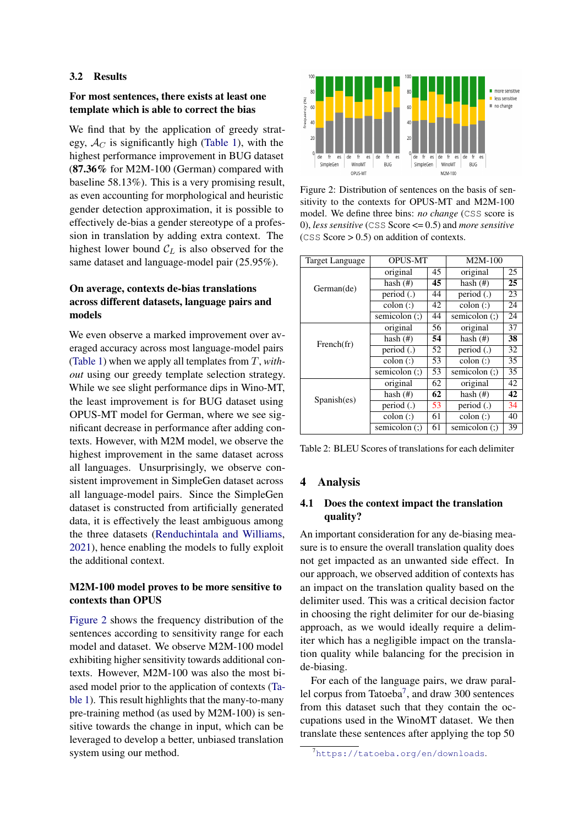#### 3.2 Results

### For most sentences, there exists at least one template which is able to correct the bias

We find that by the application of greedy strategy,  $A_C$  is significantly high [\(Table 1\)](#page-3-1), with the highest performance improvement in BUG dataset (87.36% for M2M-100 (German) compared with baseline 58.13%). This is a very promising result, as even accounting for morphological and heuristic gender detection approximation, it is possible to effectively de-bias a gender stereotype of a profession in translation by adding extra context. The highest lower bound  $C_L$  is also observed for the same dataset and language-model pair (25.95%).

## On average, contexts de-bias translations across different datasets, language pairs and models

We even observe a marked improvement over averaged accuracy across most language-model pairs [\(Table 1\)](#page-3-1) when we apply all templates from T, *without* using our greedy template selection strategy. While we see slight performance dips in Wino-MT, the least improvement is for BUG dataset using OPUS-MT model for German, where we see significant decrease in performance after adding contexts. However, with M2M model, we observe the highest improvement in the same dataset across all languages. Unsurprisingly, we observe consistent improvement in SimpleGen dataset across all language-model pairs. Since the SimpleGen dataset is constructed from artificially generated data, it is effectively the least ambiguous among the three datasets [\(Renduchintala and Williams,](#page-7-9) [2021\)](#page-7-9), hence enabling the models to fully exploit the additional context.

## M2M-100 model proves to be more sensitive to contexts than OPUS

[Figure 2](#page-4-1) shows the frequency distribution of the sentences according to sensitivity range for each model and dataset. We observe M2M-100 model exhibiting higher sensitivity towards additional contexts. However, M2M-100 was also the most biased model prior to the application of contexts [\(Ta](#page-3-1)[ble 1\)](#page-3-1). This result highlights that the many-to-many pre-training method (as used by M2M-100) is sensitive towards the change in input, which can be leveraged to develop a better, unbiased translation system using our method.

<span id="page-4-1"></span>

Figure 2: Distribution of sentences on the basis of sensitivity to the contexts for OPUS-MT and M2M-100 model. We define three bins: *no change* (CSS score is 0), *less sensitive* (CSS Score <= 0.5) and *more sensitive*  $(CSS Score > 0.5)$  on addition of contexts.

<span id="page-4-3"></span>

| <b>Target Language</b> | <b>OPUS-MT</b>      |    | M2M-100            |    |
|------------------------|---------------------|----|--------------------|----|
|                        | original            | 45 | original           | 25 |
| German(de)             | hash $(\#)$         | 45 | hash $(\#)$        | 25 |
|                        | period (.)          | 44 | period $(.)$       | 23 |
|                        | $\text{colon}$ (:)  | 42 | $\text{colon}$ (:) | 24 |
|                        | semicolon $($ : $)$ | 44 | semicolon (;)      | 24 |
| French(fr)             | original            | 56 | original           | 37 |
|                        | hash $(\#)$         | 54 | hash $($ #)        | 38 |
|                        | period (.)          | 52 | period (.)         | 32 |
|                        | $\text{colon}$ (:)  | 53 | $\text{colon}$ (:) | 35 |
|                        | semicolon $($ : $)$ | 53 | semicolon (;)      | 35 |
|                        | original            | 62 | original           | 42 |
| Spanish(es)            | hash $(\#)$         | 62 | hash $(#)$         | 42 |
|                        | period (.)          | 53 | period (.)         | 34 |
|                        | $\text{colon}$ (:)  | 61 | $\text{colon}$ (:) | 40 |
|                        | semicolon (;)       | 61 | semicolon (;)      | 39 |

Table 2: BLEU Scores of translations for each delimiter

#### 4 Analysis

### <span id="page-4-0"></span>4.1 Does the context impact the translation quality?

An important consideration for any de-biasing measure is to ensure the overall translation quality does not get impacted as an unwanted side effect. In our approach, we observed addition of contexts has an impact on the translation quality based on the delimiter used. This was a critical decision factor in choosing the right delimiter for our de-biasing approach, as we would ideally require a delimiter which has a negligible impact on the translation quality while balancing for the precision in de-biasing.

For each of the language pairs, we draw paral-lel corpus from Tatoeba<sup>[7](#page-4-2)</sup>, and draw 300 sentences from this dataset such that they contain the occupations used in the WinoMT dataset. We then translate these sentences after applying the top 50

<span id="page-4-2"></span><sup>7</sup><https://tatoeba.org/en/downloads>.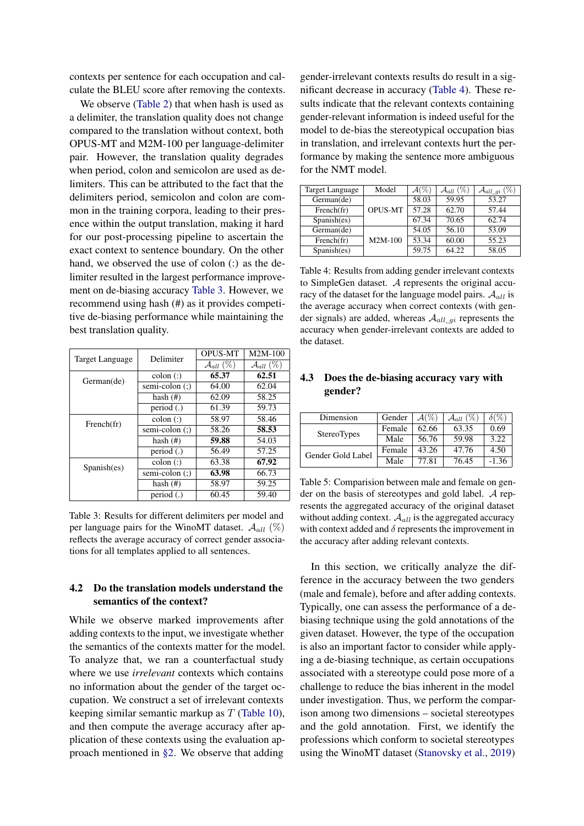contexts per sentence for each occupation and calculate the BLEU score after removing the contexts.

We observe [\(Table 2\)](#page-4-3) that when hash is used as a delimiter, the translation quality does not change compared to the translation without context, both OPUS-MT and M2M-100 per language-delimiter pair. However, the translation quality degrades when period, colon and semicolon are used as delimiters. This can be attributed to the fact that the delimiters period, semicolon and colon are common in the training corpora, leading to their presence within the output translation, making it hard for our post-processing pipeline to ascertain the exact context to sentence boundary. On the other hand, we observed the use of colon (:) as the delimiter resulted in the largest performance improvement on de-biasing accuracy [Table 3.](#page-5-0) However, we recommend using hash (#) as it provides competitive de-biasing performance while maintaining the best translation quality.

<span id="page-5-0"></span>

| <b>Target Language</b> | Delimiter          | <b>OPUS-MT</b>          | $M2M-100$               |
|------------------------|--------------------|-------------------------|-------------------------|
|                        |                    | $\mathcal{A}_{all}(\%)$ | $\mathcal{A}_{all}$ (%) |
| German(de)             | $\text{colon}$ (:) | 65.37                   | 62.51                   |
|                        | semi-colon (;)     | 64.00                   | 62.04                   |
|                        | hash $(\#)$        | 62.09                   | 58.25                   |
|                        | period $(.)$       | 61.39                   | 59.73                   |
| French(fr)             | $\text{colon}$ (:) | 58.97                   | 58.46                   |
|                        | semi-colon (;)     | 58.26                   | 58.53                   |
|                        | hash $(\#)$        | 59.88                   | 54.03                   |
|                        | period $(.)$       | 56.49                   | 57.25                   |
| Spanish(es)            | $\text{colon}$ (:) | 63.38                   | 67.92                   |
|                        | semi-colon (;)     | 63.98                   | 66.73                   |
|                        | hash $(\#)$        | 58.97                   | 59.25                   |
|                        | period $(.)$       | 60.45                   | 59.40                   |

Table 3: Results for different delimiters per model and per language pairs for the WinoMT dataset.  $\mathcal{A}_{all}$  (%) reflects the average accuracy of correct gender associations for all templates applied to all sentences.

## 4.2 Do the translation models understand the semantics of the context?

While we observe marked improvements after adding contexts to the input, we investigate whether the semantics of the contexts matter for the model. To analyze that, we ran a counterfactual study where we use *irrelevant* contexts which contains no information about the gender of the target occupation. We construct a set of irrelevant contexts keeping similar semantic markup as  $T$  [\(Table 10\)](#page-10-0), and then compute the average accuracy after application of these contexts using the evaluation approach mentioned in [§2.](#page-1-3) We observe that adding

gender-irrelevant contexts results do result in a significant decrease in accuracy [\(Table 4\)](#page-5-1). These results indicate that the relevant contexts containing gender-relevant information is indeed useful for the model to de-bias the stereotypical occupation bias in translation, and irrelevant contexts hurt the performance by making the sentence more ambiguous for the NMT model.

<span id="page-5-1"></span>

| Target Language | Model          | $\mathcal{A}(\%)$ | $\mathcal{A}_{all}(\%)$ | $\mathcal{A}_{all\_gi}$ (%) |
|-----------------|----------------|-------------------|-------------------------|-----------------------------|
| German(de)      |                | 58.03             | 59.95                   | 53.27                       |
| French(fr)      | <b>OPUS-MT</b> | 57.28             | 62.70                   | 57.44                       |
| Spanish(es)     |                | 67.34             | 70.65                   | 62.74                       |
| German(de)      |                | 54.05             | 56.10                   | 53.09                       |
| French(fr)      | M2M-100        | 53.34             | 60.00                   | 55.23                       |
| Spanish(es)     |                | 59.75             | 64.22                   | 58.05                       |

Table 4: Results from adding gender irrelevant contexts to SimpleGen dataset. A represents the original accuracy of the dataset for the language model pairs.  $A_{all}$  is the average accuracy when correct contexts (with gender signals) are added, whereas  $A_{all}$   $q_i$  represents the accuracy when gender-irrelevant contexts are added to the dataset.

### 4.3 Does the de-biasing accuracy vary with gender?

<span id="page-5-2"></span>

| Dimension          | Gender | $\mathcal{A}(\%)$ | $\mathcal{A}_{all}(\%)$ | $\delta$ (%) |
|--------------------|--------|-------------------|-------------------------|--------------|
| <b>StereoTypes</b> | Female | 62.66             | 63.35                   | 0.69         |
|                    | Male   | 56.76             | 59.98                   | 3.22         |
| Gender Gold Label  | Female | 43.26             | 47.76                   | 4.50         |
|                    | Male   | 77.81             | 76.45                   | $-1.36$      |

Table 5: Comparision between male and female on gender on the basis of stereotypes and gold label. A represents the aggregated accuracy of the original dataset without adding context.  $A_{all}$  is the aggregated accuracy with context added and  $\delta$  represents the improvement in the accuracy after adding relevant contexts.

In this section, we critically analyze the difference in the accuracy between the two genders (male and female), before and after adding contexts. Typically, one can assess the performance of a debiasing technique using the gold annotations of the given dataset. However, the type of the occupation is also an important factor to consider while applying a de-biasing technique, as certain occupations associated with a stereotype could pose more of a challenge to reduce the bias inherent in the model under investigation. Thus, we perform the comparison among two dimensions – societal stereotypes and the gold annotation. First, we identify the professions which conform to societal stereotypes using the WinoMT dataset [\(Stanovsky et al.,](#page-8-1) [2019\)](#page-8-1)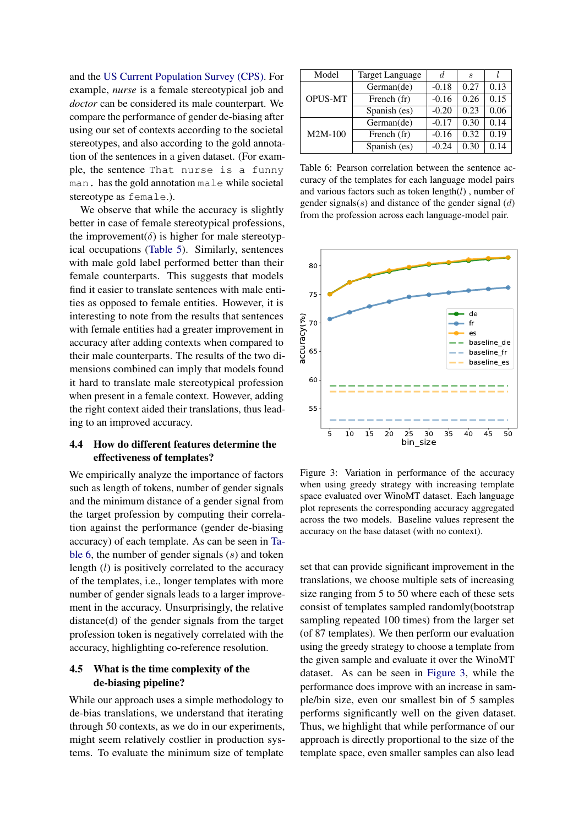and the [US Current Population Survey \(CPS\).](https://www.census.gov/programs-surveys/cps.html) For example, *nurse* is a female stereotypical job and *doctor* can be considered its male counterpart. We compare the performance of gender de-biasing after using our set of contexts according to the societal stereotypes, and also according to the gold annotation of the sentences in a given dataset. (For example, the sentence That nurse is a funny man. has the gold annotation male while societal stereotype as female.).

We observe that while the accuracy is slightly better in case of female stereotypical professions, the improvement( $\delta$ ) is higher for male stereotypical occupations [\(Table 5\)](#page-5-2). Similarly, sentences with male gold label performed better than their female counterparts. This suggests that models find it easier to translate sentences with male entities as opposed to female entities. However, it is interesting to note from the results that sentences with female entities had a greater improvement in accuracy after adding contexts when compared to their male counterparts. The results of the two dimensions combined can imply that models found it hard to translate male stereotypical profession when present in a female context. However, adding the right context aided their translations, thus leading to an improved accuracy.

## 4.4 How do different features determine the effectiveness of templates?

We empirically analyze the importance of factors such as length of tokens, number of gender signals and the minimum distance of a gender signal from the target profession by computing their correlation against the performance (gender de-biasing accuracy) of each template. As can be seen in [Ta](#page-6-0)[ble 6,](#page-6-0) the number of gender signals  $(s)$  and token length (l) is positively correlated to the accuracy of the templates, i.e., longer templates with more number of gender signals leads to a larger improvement in the accuracy. Unsurprisingly, the relative distance(d) of the gender signals from the target profession token is negatively correlated with the accuracy, highlighting co-reference resolution.

### 4.5 What is the time complexity of the de-biasing pipeline?

While our approach uses a simple methodology to de-bias translations, we understand that iterating through 50 contexts, as we do in our experiments, might seem relatively costlier in production systems. To evaluate the minimum size of template

<span id="page-6-0"></span>

| Model          | Target Language | d.      | S    |      |
|----------------|-----------------|---------|------|------|
|                | German(de)      | $-0.18$ | 0.27 | 0.13 |
| <b>OPUS-MT</b> | French (fr)     | $-0.16$ | 0.26 | 0.15 |
|                | Spanish (es)    | $-0.20$ | 0.23 | 0.06 |
|                | German(de)      | $-0.17$ | 0.30 | 0.14 |
| $M2M-100$      | French (fr)     | $-0.16$ | 0.32 | 0.19 |
|                | Spanish (es)    | $-0.24$ | 0.30 | 0.14 |

Table 6: Pearson correlation between the sentence accuracy of the templates for each language model pairs and various factors such as token  $length(l)$ , number of gender signals( $s$ ) and distance of the gender signal ( $d$ ) from the profession across each language-model pair.

<span id="page-6-1"></span>

Figure 3: Variation in performance of the accuracy when using greedy strategy with increasing template space evaluated over WinoMT dataset. Each language plot represents the corresponding accuracy aggregated across the two models. Baseline values represent the accuracy on the base dataset (with no context).

set that can provide significant improvement in the translations, we choose multiple sets of increasing size ranging from 5 to 50 where each of these sets consist of templates sampled randomly(bootstrap sampling repeated 100 times) from the larger set (of 87 templates). We then perform our evaluation using the greedy strategy to choose a template from the given sample and evaluate it over the WinoMT dataset. As can be seen in [Figure 3,](#page-6-1) while the performance does improve with an increase in sample/bin size, even our smallest bin of 5 samples performs significantly well on the given dataset. Thus, we highlight that while performance of our approach is directly proportional to the size of the template space, even smaller samples can also lead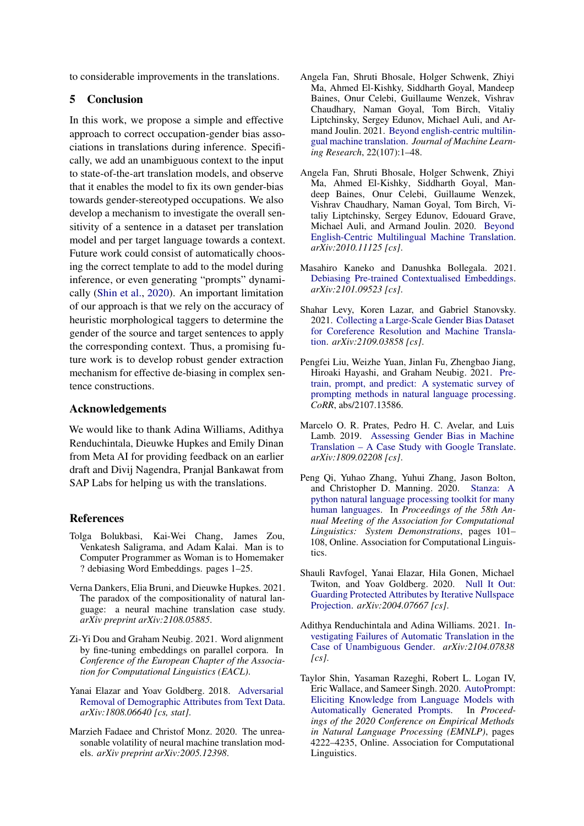to considerable improvements in the translations.

## 5 Conclusion

In this work, we propose a simple and effective approach to correct occupation-gender bias associations in translations during inference. Specifically, we add an unambiguous context to the input to state-of-the-art translation models, and observe that it enables the model to fix its own gender-bias towards gender-stereotyped occupations. We also develop a mechanism to investigate the overall sensitivity of a sentence in a dataset per translation model and per target language towards a context. Future work could consist of automatically choosing the correct template to add to the model during inference, or even generating "prompts" dynamically [\(Shin et al.,](#page-7-14) [2020\)](#page-7-14). An important limitation of our approach is that we rely on the accuracy of heuristic morphological taggers to determine the gender of the source and target sentences to apply the corresponding context. Thus, a promising future work is to develop robust gender extraction mechanism for effective de-biasing in complex sentence constructions.

### Acknowledgements

We would like to thank Adina Williams, Adithya Renduchintala, Dieuwke Hupkes and Emily Dinan from Meta AI for providing feedback on an earlier draft and Divij Nagendra, Pranjal Bankawat from SAP Labs for helping us with the translations.

### References

- <span id="page-7-1"></span>Tolga Bolukbasi, Kai-Wei Chang, James Zou, Venkatesh Saligrama, and Adam Kalai. Man is to Computer Programmer as Woman is to Homemaker ? debiasing Word Embeddings. pages 1–25.
- <span id="page-7-6"></span>Verna Dankers, Elia Bruni, and Dieuwke Hupkes. 2021. The paradox of the compositionality of natural language: a neural machine translation case study. *arXiv preprint arXiv:2108.05885*.
- <span id="page-7-12"></span>Zi-Yi Dou and Graham Neubig. 2021. Word alignment by fine-tuning embeddings on parallel corpora. In *Conference of the European Chapter of the Association for Computational Linguistics (EACL)*.
- <span id="page-7-2"></span>Yanai Elazar and Yoav Goldberg. 2018. [Adversarial](http://arxiv.org/abs/1808.06640) [Removal of Demographic Attributes from Text Data.](http://arxiv.org/abs/1808.06640) *arXiv:1808.06640 [cs, stat]*.
- <span id="page-7-5"></span>Marzieh Fadaee and Christof Monz. 2020. The unreasonable volatility of neural machine translation models. *arXiv preprint arXiv:2005.12398*.
- <span id="page-7-13"></span>Angela Fan, Shruti Bhosale, Holger Schwenk, Zhiyi Ma, Ahmed El-Kishky, Siddharth Goyal, Mandeep Baines, Onur Celebi, Guillaume Wenzek, Vishrav Chaudhary, Naman Goyal, Tom Birch, Vitaliy Liptchinsky, Sergey Edunov, Michael Auli, and Armand Joulin. 2021. [Beyond english-centric multilin](http://jmlr.org/papers/v22/20-1307.html)[gual machine translation.](http://jmlr.org/papers/v22/20-1307.html) *Journal of Machine Learning Research*, 22(107):1–48.
- <span id="page-7-7"></span>Angela Fan, Shruti Bhosale, Holger Schwenk, Zhiyi Ma, Ahmed El-Kishky, Siddharth Goyal, Mandeep Baines, Onur Celebi, Guillaume Wenzek, Vishrav Chaudhary, Naman Goyal, Tom Birch, Vitaliy Liptchinsky, Sergey Edunov, Edouard Grave, Michael Auli, and Armand Joulin. 2020. [Beyond](http://arxiv.org/abs/2010.11125) [English-Centric Multilingual Machine Translation.](http://arxiv.org/abs/2010.11125) *arXiv:2010.11125 [cs]*.
- <span id="page-7-4"></span>Masahiro Kaneko and Danushka Bollegala. 2021. [Debiasing Pre-trained Contextualised Embeddings.](http://arxiv.org/abs/2101.09523) *arXiv:2101.09523 [cs]*.
- <span id="page-7-8"></span>Shahar Levy, Koren Lazar, and Gabriel Stanovsky. 2021. [Collecting a Large-Scale Gender Bias Dataset](http://arxiv.org/abs/2109.03858) [for Coreference Resolution and Machine Transla](http://arxiv.org/abs/2109.03858)[tion.](http://arxiv.org/abs/2109.03858) *arXiv:2109.03858 [cs]*.
- <span id="page-7-10"></span>Pengfei Liu, Weizhe Yuan, Jinlan Fu, Zhengbao Jiang, Hiroaki Hayashi, and Graham Neubig. 2021. [Pre](http://arxiv.org/abs/2107.13586)[train, prompt, and predict: A systematic survey of](http://arxiv.org/abs/2107.13586) [prompting methods in natural language processing.](http://arxiv.org/abs/2107.13586) *CoRR*, abs/2107.13586.
- <span id="page-7-0"></span>Marcelo O. R. Prates, Pedro H. C. Avelar, and Luis Lamb. 2019. [Assessing Gender Bias in Machine](http://arxiv.org/abs/1809.02208) [Translation – A Case Study with Google Translate.](http://arxiv.org/abs/1809.02208) *arXiv:1809.02208 [cs]*.
- <span id="page-7-11"></span>Peng Qi, Yuhao Zhang, Yuhui Zhang, Jason Bolton, and Christopher D. Manning. 2020. [Stanza: A](https://doi.org/10.18653/v1/2020.acl-demos.14) [python natural language processing toolkit for many](https://doi.org/10.18653/v1/2020.acl-demos.14) [human languages.](https://doi.org/10.18653/v1/2020.acl-demos.14) In *Proceedings of the 58th Annual Meeting of the Association for Computational Linguistics: System Demonstrations*, pages 101– 108, Online. Association for Computational Linguistics.
- <span id="page-7-3"></span>Shauli Ravfogel, Yanai Elazar, Hila Gonen, Michael Twiton, and Yoav Goldberg. 2020. [Null It Out:](http://arxiv.org/abs/2004.07667) [Guarding Protected Attributes by Iterative Nullspace](http://arxiv.org/abs/2004.07667) [Projection.](http://arxiv.org/abs/2004.07667) *arXiv:2004.07667 [cs]*.
- <span id="page-7-9"></span>Adithya Renduchintala and Adina Williams. 2021. [In](http://arxiv.org/abs/2104.07838)[vestigating Failures of Automatic Translation in the](http://arxiv.org/abs/2104.07838) [Case of Unambiguous Gender.](http://arxiv.org/abs/2104.07838) *arXiv:2104.07838 [cs]*.
- <span id="page-7-14"></span>Taylor Shin, Yasaman Razeghi, Robert L. Logan IV, Eric Wallace, and Sameer Singh. 2020. [AutoPrompt:](https://doi.org/10.18653/v1/2020.emnlp-main.346) [Eliciting Knowledge from Language Models with](https://doi.org/10.18653/v1/2020.emnlp-main.346) [Automatically Generated Prompts.](https://doi.org/10.18653/v1/2020.emnlp-main.346) In *Proceedings of the 2020 Conference on Empirical Methods in Natural Language Processing (EMNLP)*, pages 4222–4235, Online. Association for Computational Linguistics.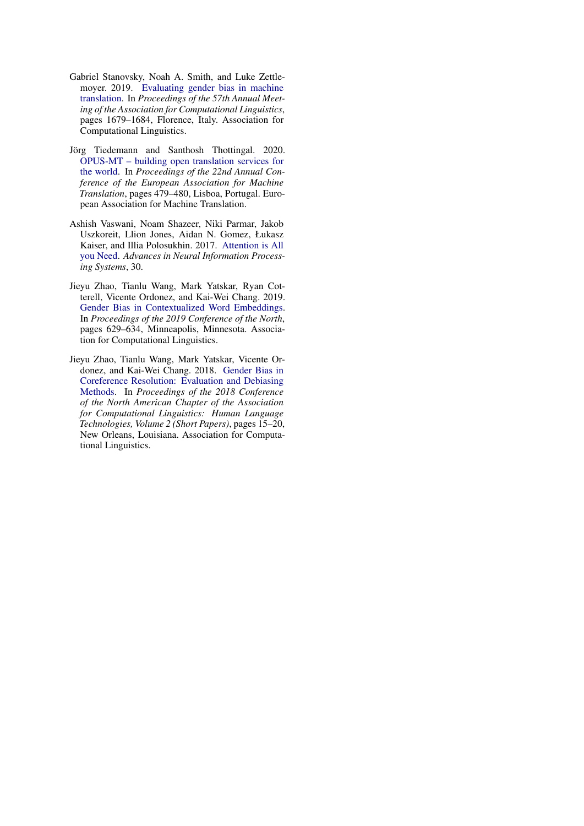- <span id="page-8-1"></span>Gabriel Stanovsky, Noah A. Smith, and Luke Zettlemoyer. 2019. [Evaluating gender bias in machine](https://doi.org/10.18653/v1/P19-1164) [translation.](https://doi.org/10.18653/v1/P19-1164) In *Proceedings of the 57th Annual Meeting of the Association for Computational Linguistics*, pages 1679–1684, Florence, Italy. Association for Computational Linguistics.
- <span id="page-8-4"></span>Jörg Tiedemann and Santhosh Thottingal. 2020. [OPUS-MT – building open translation services for](https://aclanthology.org/2020.eamt-1.61) [the world.](https://aclanthology.org/2020.eamt-1.61) In *Proceedings of the 22nd Annual Conference of the European Association for Machine Translation*, pages 479–480, Lisboa, Portugal. European Association for Machine Translation.
- <span id="page-8-0"></span>Ashish Vaswani, Noam Shazeer, Niki Parmar, Jakob Uszkoreit, Llion Jones, Aidan N. Gomez, Łukasz Kaiser, and Illia Polosukhin. 2017. [Attention is All](https://papers.nips.cc/paper/2017/hash/3f5ee243547dee91fbd053c1c4a845aa-Abstract.html) [you Need.](https://papers.nips.cc/paper/2017/hash/3f5ee243547dee91fbd053c1c4a845aa-Abstract.html) *Advances in Neural Information Processing Systems*, 30.
- <span id="page-8-3"></span>Jieyu Zhao, Tianlu Wang, Mark Yatskar, Ryan Cotterell, Vicente Ordonez, and Kai-Wei Chang. 2019. [Gender Bias in Contextualized Word Embeddings.](https://doi.org/10.18653/v1/N19-1064) In *Proceedings of the 2019 Conference of the North*, pages 629–634, Minneapolis, Minnesota. Association for Computational Linguistics.
- <span id="page-8-2"></span>Jieyu Zhao, Tianlu Wang, Mark Yatskar, Vicente Ordonez, and Kai-Wei Chang. 2018. [Gender Bias in](https://doi.org/10.18653/v1/N18-2003) [Coreference Resolution: Evaluation and Debiasing](https://doi.org/10.18653/v1/N18-2003) [Methods.](https://doi.org/10.18653/v1/N18-2003) In *Proceedings of the 2018 Conference of the North American Chapter of the Association for Computational Linguistics: Human Language Technologies, Volume 2 (Short Papers)*, pages 15–20, New Orleans, Louisiana. Association for Computational Linguistics.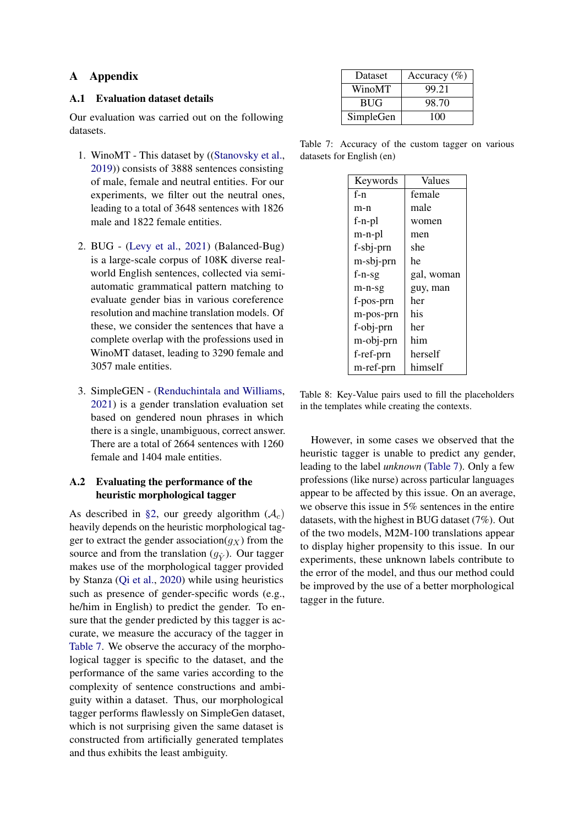### A Appendix

#### A.1 Evaluation dataset details

Our evaluation was carried out on the following datasets.

- 1. WinoMT This dataset by ([\(Stanovsky et al.,](#page-8-1) [2019\)](#page-8-1)) consists of 3888 sentences consisting of male, female and neutral entities. For our experiments, we filter out the neutral ones, leading to a total of 3648 sentences with 1826 male and 1822 female entities.
- 2. BUG [\(Levy et al.,](#page-7-8) [2021\)](#page-7-8) (Balanced-Bug) is a large-scale corpus of 108K diverse realworld English sentences, collected via semiautomatic grammatical pattern matching to evaluate gender bias in various coreference resolution and machine translation models. Of these, we consider the sentences that have a complete overlap with the professions used in WinoMT dataset, leading to 3290 female and 3057 male entities.
- 3. SimpleGEN [\(Renduchintala and Williams,](#page-7-9) [2021\)](#page-7-9) is a gender translation evaluation set based on gendered noun phrases in which there is a single, unambiguous, correct answer. There are a total of 2664 sentences with 1260 female and 1404 male entities.

### A.2 Evaluating the performance of the heuristic morphological tagger

As described in [§2,](#page-1-3) our greedy algorithm  $(A<sub>c</sub>)$ heavily depends on the heuristic morphological tagger to extract the gender association( $g_X$ ) from the source and from the translation  $(q_{\hat{V}})$ . Our tagger makes use of the morphological tagger provided by Stanza [\(Qi et al.,](#page-7-11) [2020\)](#page-7-11) while using heuristics such as presence of gender-specific words (e.g., he/him in English) to predict the gender. To ensure that the gender predicted by this tagger is accurate, we measure the accuracy of the tagger in [Table 7.](#page-9-1) We observe the accuracy of the morphological tagger is specific to the dataset, and the performance of the same varies according to the complexity of sentence constructions and ambiguity within a dataset. Thus, our morphological tagger performs flawlessly on SimpleGen dataset, which is not surprising given the same dataset is constructed from artificially generated templates and thus exhibits the least ambiguity.

<span id="page-9-1"></span>

| Dataset    | Accuracy $(\%)$ |
|------------|-----------------|
| WinoMT     | 99.21           |
| <b>BUG</b> | 98.70           |
| SimpleGen  | 100             |

<span id="page-9-0"></span>Table 7: Accuracy of the custom tagger on various datasets for English (en)

| Keywords  | Values     |
|-----------|------------|
| $f-n$     | female     |
| m-n       | male       |
| f-n-pl    | women      |
| m-n-pl    | men        |
| f-sbj-prn | she        |
| m-sbj-prn | he         |
| $f-n-sg$  | gal, woman |
| m-n-sg    | guy, man   |
| f-pos-prn | her        |
| m-pos-prn | his        |
| f-obj-prn | her        |
| m-obj-prn | him        |
| f-ref-prn | herself    |
| m-ref-prn | himself    |

Table 8: Key-Value pairs used to fill the placeholders in the templates while creating the contexts.

However, in some cases we observed that the heuristic tagger is unable to predict any gender, leading to the label *unknown* [\(Table 7\)](#page-9-1). Only a few professions (like nurse) across particular languages appear to be affected by this issue. On an average, we observe this issue in 5% sentences in the entire datasets, with the highest in BUG dataset (7%). Out of the two models, M2M-100 translations appear to display higher propensity to this issue. In our experiments, these unknown labels contribute to the error of the model, and thus our method could be improved by the use of a better morphological tagger in the future.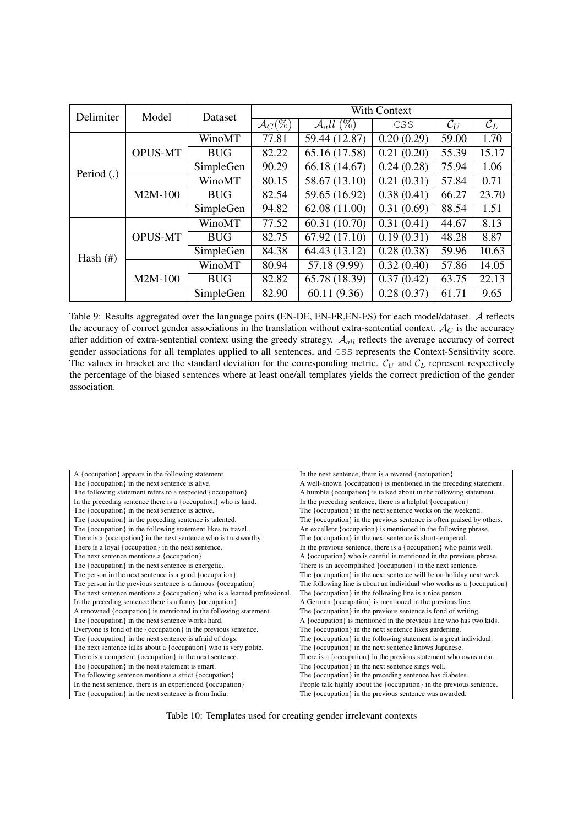| Delimiter   | Model          | Dataset    |                     | With Context           |                         |                 |                 |  |  |
|-------------|----------------|------------|---------------------|------------------------|-------------------------|-----------------|-----------------|--|--|
|             |                |            | $\mathcal{A}_C(\%)$ | $\mathcal{A}_d ll$ (%) | CSS                     | $\mathcal{C}_U$ | $\mathcal{C}_L$ |  |  |
|             |                | WinoMT     | 77.81               | 59.44 (12.87)          | 0.20(0.29)              | 59.00           | 1.70            |  |  |
|             | <b>OPUS-MT</b> | <b>BUG</b> | 82.22               | 65.16 (17.58)          | 0.21(0.20)              | 55.39           | 15.17           |  |  |
| Period (.)  |                | SimpleGen  | 90.29               | 66.18 (14.67)          | 0.24(0.28)              | 75.94           | 1.06            |  |  |
|             |                | WinoMT     | 80.15               | 58.67 (13.10)          | 0.21(0.31)              | 57.84           | 0.71            |  |  |
|             | $M2M-100$      | <b>BUG</b> | 82.54               | 59.65 (16.92)          | 0.38(0.41)              | 66.27           | 23.70           |  |  |
|             |                | SimpleGen  | 94.82               | 62.08 (11.00)          | 0.31(0.69)              | 88.54           | 1.51            |  |  |
|             |                | WinoMT     | 77.52               | 60.31(10.70)           | 0.31(0.41)              | 44.67           | 8.13            |  |  |
|             | <b>OPUS-MT</b> | <b>BUG</b> | 82.75               | 67.92 (17.10)          | $\overline{0.19(0.31)}$ | 48.28           | 8.87            |  |  |
| Hash $(\#)$ |                | SimpleGen  | 84.38               | 64.43 (13.12)          | 0.28(0.38)              | 59.96           | 10.63           |  |  |
|             |                | WinoMT     | 80.94               | 57.18 (9.99)           | 0.32(0.40)              | 57.86           | 14.05           |  |  |
|             | $M2M-100$      | <b>BUG</b> | 82.82               | 65.78 (18.39)          | 0.37(0.42)              | 63.75           | 22.13           |  |  |
|             |                | SimpleGen  | 82.90               | 60.11 (9.36)           | 0.28(0.37)              | 61.71           | 9.65            |  |  |

Table 9: Results aggregated over the language pairs (EN-DE, EN-FR,EN-ES) for each model/dataset. A reflects the accuracy of correct gender associations in the translation without extra-sentential context.  $A_C$  is the accuracy after addition of extra-sentential context using the greedy strategy.  $A_{all}$  reflects the average accuracy of correct gender associations for all templates applied to all sentences, and CSS represents the Context-Sensitivity score. The values in bracket are the standard deviation for the corresponding metric.  $\mathcal{C}_U$  and  $\mathcal{C}_L$  represent respectively the percentage of the biased sentences where at least one/all templates yields the correct prediction of the gender association.

<span id="page-10-0"></span>

| A {occupation} appears in the following statement                        | In the next sentence, there is a revered {occupation}                 |
|--------------------------------------------------------------------------|-----------------------------------------------------------------------|
| The {occupation} in the next sentence is alive.                          | A well-known {occupation} is mentioned in the preceding statement.    |
| The following statement refers to a respected {occupation}               | A humble {occupation} is talked about in the following statement.     |
| In the preceding sentence there is a {occupation} who is kind.           | In the preceding sentence, there is a helpful {occupation}            |
| The {occupation} in the next sentence is active.                         | The {occupation} in the next sentence works on the weekend.           |
| The {occupation} in the preceding sentence is talented.                  | The {occupation} in the previous sentence is often praised by others. |
| The {occupation} in the following statement likes to travel.             | An excellent {occupation} is mentioned in the following phrase.       |
| There is a {occupation} in the next sentence who is trustworthy.         | The {occupation} in the next sentence is short-tempered.              |
| There is a loyal {occupation} in the next sentence.                      | In the previous sentence, there is a {occupation} who paints well.    |
| The next sentence mentions a {occupation}                                | A {occupation} who is careful is mentioned in the previous phrase.    |
| The {occupation} in the next sentence is energetic.                      | There is an accomplished {occupation} in the next sentence.           |
| The person in the next sentence is a good {occupation}                   | The {occupation} in the next sentence will be on holiday next week.   |
| The person in the previous sentence is a famous {occupation}             | The following line is about an individual who works as a {occupation} |
| The next sentence mentions a {occupation} who is a learned professional. | The {occupation} in the following line is a nice person.              |
| In the preceding sentence there is a funny {occupation}                  | A German {occupation} is mentioned in the previous line.              |
| A renowned {occupation} is mentioned in the following statement.         | The {occupation} in the previous sentence is fond of writing.         |
| The {occupation} in the next sentence works hard.                        | A {occupation} is mentioned in the previous line who has two kids.    |
| Everyone is fond of the {occupation} in the previous sentence.           | The {occupation} in the next sentence likes gardening.                |
| The {occupation} in the next sentence is afraid of dogs.                 | The {occupation} in the following statement is a great individual.    |
| The next sentence talks about a {occupation} who is very polite.         | The {occupation} in the next sentence knows Japanese.                 |
| There is a competent {occupation} in the next sentence.                  | There is a {occupation} in the previous statement who owns a car.     |
| The {occupation} in the next statement is smart.                         | The {occupation} in the next sentence sings well.                     |
| The following sentence mentions a strict {occupation}                    | The {occupation} in the preceding sentence has diabetes.              |
| In the next sentence, there is an experienced {occupation}               | People talk highly about the {occupation} in the previous sentence.   |
| The {occupation} in the next sentence is from India.                     | The {occupation} in the previous sentence was awarded.                |

Table 10: Templates used for creating gender irrelevant contexts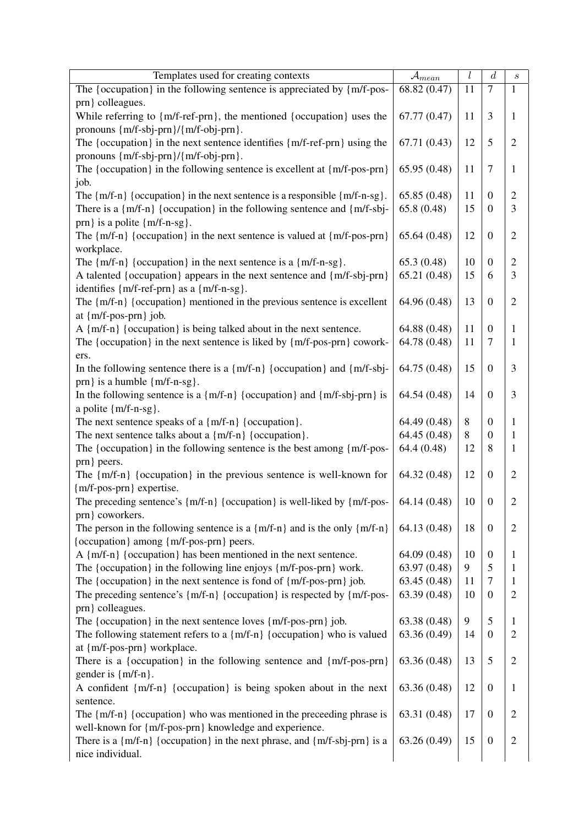<span id="page-11-0"></span>

| Templates used for creating contexts                                                | $\mathcal{A}_{mean}$ | l  | $\boldsymbol{d}$      | $\boldsymbol{s}$ |
|-------------------------------------------------------------------------------------|----------------------|----|-----------------------|------------------|
| The {occupation} in the following sentence is appreciated by ${m/f-pos-}$           | 68.82 (0.47)         | 11 | $\tau$                | $\mathbf{1}$     |
| prn } colleagues.                                                                   |                      |    |                       |                  |
| While referring to {m/f-ref-prn}, the mentioned {occupation} uses the               | 67.77 (0.47)         | 11 | 3                     | 1                |
| pronouns $\{m/f-sbj-prn\}/\{m/f-obj-prn\}$ .                                        |                      |    |                       |                  |
| The {occupation} in the next sentence identifies {m/f-ref-prn} using the            | 67.71 (0.43)         | 12 | 5                     | $\overline{2}$   |
| pronouns {m/f-sbj-prn}/{m/f-obj-prn}.                                               |                      |    |                       |                  |
| The {occupation} in the following sentence is excellent at ${m/f-pos-prn}$ }        | 65.95 (0.48)         | 11 | $7\phantom{.0}$       | $\mathbf{1}$     |
| job.                                                                                |                      |    |                       |                  |
| The $\{m/f-n\}$ {occupation} in the next sentence is a responsible $\{m/f-n-sg\}$ . | 65.85(0.48)          | 11 | $\mathbf{0}$          | $\overline{2}$   |
| There is a ${m/f-n}$ {occupation} in the following sentence and ${m/f-sbj}$ -       | 65.8(0.48)           | 15 | $\boldsymbol{0}$      | 3                |
| prn } is a polite {m/f-n-sg}.                                                       |                      |    |                       |                  |
| The $\{m/f-n\}$ {occupation} in the next sentence is valued at $\{m/f-pos-prn\}$    | 65.64(0.48)          | 12 | $\mathbf{0}$          | $\overline{2}$   |
|                                                                                     |                      |    |                       |                  |
| workplace.                                                                          |                      |    |                       |                  |
| The $\{m/f-n\}$ {occupation} in the next sentence is a $\{m/f-n-sg\}$ .             | 65.3(0.48)           | 10 | $\boldsymbol{0}$      | $\overline{2}$   |
| A talented {occupation} appears in the next sentence and {m/f-sbj-prn}              | 65.21 (0.48)         | 15 | 6                     | 3                |
| identifies {m/f-ref-prn} as a {m/f-n-sg}.                                           |                      |    |                       |                  |
| The {m/f-n} {occupation} mentioned in the previous sentence is excellent            | 64.96 (0.48)         | 13 | $\mathbf{0}$          | $\overline{2}$   |
| at {m/f-pos-prn} job.                                                               |                      |    |                       |                  |
| A {m/f-n} {occupation} is being talked about in the next sentence.                  | 64.88 (0.48)         | 11 | $\overline{0}$        | 1                |
| The {occupation} in the next sentence is liked by {m/f-pos-prn} cowork-             | 64.78 (0.48)         | 11 | $\overline{7}$        | 1                |
| ers.                                                                                |                      |    |                       |                  |
| In the following sentence there is a {m/f-n} {occupation} and {m/f-sbj-             | 64.75 (0.48)         | 15 | $\boldsymbol{0}$      | 3                |
| prn } is a humble ${m/f-n-sg}$ .                                                    |                      |    |                       |                  |
| In the following sentence is a $\{m/f-n\}$ {occupation} and $\{m/f-sbj-prn\}$ is    | 64.54 (0.48)         | 14 | $\mathbf{0}$          | 3                |
| a polite {m/f-n-sg}.                                                                |                      |    |                       |                  |
| The next sentence speaks of a ${m/f-n}$ {occupation}.                               | 64.49 (0.48)         | 8  | $\boldsymbol{0}$      | 1                |
| The next sentence talks about a ${m/f-n}$ {occupation}.                             | 64.45 (0.48)         | 8  | $\overline{0}$        | 1                |
| The {occupation} in the following sentence is the best among {m/f-pos-              | 64.4(0.48)           | 12 | 8                     | 1                |
| prn } peers.                                                                        |                      |    |                       |                  |
| The $\{m/f-n\}$ {occupation} in the previous sentence is well-known for             | 64.32 (0.48)         | 12 | $\boldsymbol{0}$      | $\overline{2}$   |
| {m/f-pos-prn} expertise.                                                            |                      |    |                       |                  |
| The preceding sentence's $\{m/f-n\}$ {occupation} is well-liked by $\{m/f-pos-$     | 64.14 (0.48)         | 10 | $\mathbf{0}$          | $\mathfrak{2}$   |
| prn } coworkers.                                                                    |                      |    |                       |                  |
| The person in the following sentence is a $\{m/f-n\}$ and is the only $\{m/f-n\}$   | 64.13 (0.48)         | 18 | $\overline{0}$        | $\overline{2}$   |
| {occupation} among {m/f-pos-prn} peers.                                             |                      |    |                       |                  |
| A ${m/f-n}$ {occupation} has been mentioned in the next sentence.                   | 64.09 (0.48)         | 10 |                       |                  |
|                                                                                     |                      |    | $\boldsymbol{0}$<br>5 | 1                |
| The {occupation} in the following line enjoys {m/f-pos-prn} work.                   | 63.97 (0.48)         | 9  |                       | 1                |
| The {occupation} in the next sentence is fond of ${m/f-pos-prn}$ job.               | 63.45 (0.48)         | 11 | $\overline{7}$        | $\mathbf{1}$     |
| The preceding sentence's $\{m/f-n\}$ {occupation} is respected by $\{m/f-pos-$      | 63.39 (0.48)         | 10 | $\overline{0}$        | $\sqrt{2}$       |
| prn } colleagues.                                                                   |                      |    |                       |                  |
| The {occupation} in the next sentence loves ${m/f-pos-prn}$ job.                    | 63.38 (0.48)         | 9  | 5                     | $\mathbf{1}$     |
| The following statement refers to a ${m/f-n}$ {occupation} who is valued            | 63.36 (0.49)         | 14 | $\overline{0}$        | $\overline{2}$   |
| at {m/f-pos-prn} workplace.                                                         |                      |    |                       |                  |
| There is a {occupation} in the following sentence and ${m/f-pos-prn}$ }             | 63.36 (0.48)         | 13 | 5                     | $\overline{2}$   |
| gender is ${m/f-n}$ .                                                               |                      |    |                       |                  |
| A confident {m/f-n} {occupation} is being spoken about in the next                  | 63.36 (0.48)         | 12 | $\boldsymbol{0}$      | $\mathbf{1}$     |
| sentence.                                                                           |                      |    |                       |                  |
| The {m/f-n} {occupation} who was mentioned in the preceeding phrase is              | 63.31 (0.48)         | 17 | $\overline{0}$        | $\overline{2}$   |
| well-known for {m/f-pos-prn} knowledge and experience.                              |                      |    |                       |                  |
| There is a $\{m/f-n\}$ {occupation} in the next phrase, and $\{m/f-sbj-prn\}$ is a  | 63.26 (0.49)         | 15 | $\overline{0}$        | $\sqrt{2}$       |
| nice individual.                                                                    |                      |    |                       |                  |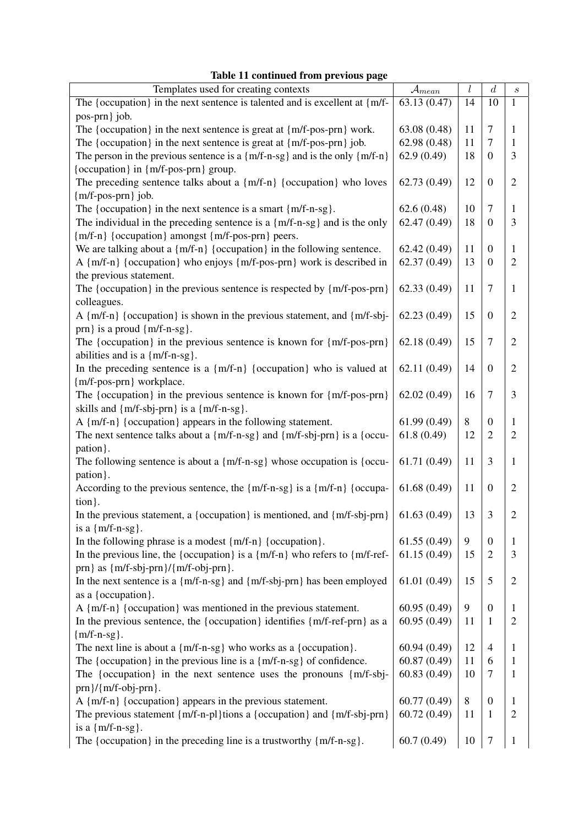|                                                                                      |                      | l  | $\boldsymbol{d}$ |                  |
|--------------------------------------------------------------------------------------|----------------------|----|------------------|------------------|
| Templates used for creating contexts                                                 | $\mathcal{A}_{mean}$ |    |                  | $\boldsymbol{s}$ |
| The {occupation} in the next sentence is talented and is excellent at ${m/f}$ -      | 63.13 (0.47)         | 14 | 10               | $\mathbf{1}$     |
| pos-prn} job.                                                                        |                      |    |                  |                  |
| The {occupation} in the next sentence is great at {m/f-pos-prn} work.                | 63.08 (0.48)         | 11 | $\overline{7}$   | 1                |
| The {occupation} in the next sentence is great at ${m/f-pos-prn}$ job.               | 62.98 (0.48)         | 11 | $\boldsymbol{7}$ | $\mathbf{1}$     |
| The person in the previous sentence is a ${m/f-n-sg}$ and is the only ${m/f-n}$      | 62.9(0.49)           | 18 | $\overline{0}$   | 3                |
| {occupation} in {m/f-pos-prn} group.                                                 |                      |    |                  |                  |
| The preceding sentence talks about a {m/f-n} {occupation} who loves                  | 62.73 (0.49)         | 12 | $\overline{0}$   | $\overline{2}$   |
| ${m/f-pos-prn}$ job.                                                                 |                      |    |                  |                  |
| The {occupation} in the next sentence is a smart ${m/f-n-sg}$ .                      | 62.6(0.48)           | 10 | $\overline{7}$   | $\mathbf{1}$     |
| The individual in the preceding sentence is a ${m/f-n-sg}$ and is the only           | 62.47(0.49)          | 18 | $\boldsymbol{0}$ | 3                |
| {m/f-n} {occupation} amongst {m/f-pos-prn} peers.                                    |                      |    |                  |                  |
| We are talking about a $\{m/f-n\}$ {occupation} in the following sentence.           | 62.42(0.49)          | 11 | $\boldsymbol{0}$ | $\mathbf{1}$     |
| A {m/f-n} {occupation} who enjoys {m/f-pos-prn} work is described in                 | 62.37(0.49)          | 13 | $\overline{0}$   | $\overline{2}$   |
| the previous statement.                                                              |                      |    |                  |                  |
| The {occupation} in the previous sentence is respected by ${m/f-pos-prn}$ }          | 62.33(0.49)          | 11 | $\overline{7}$   | $\mathbf{1}$     |
| colleagues.                                                                          |                      |    |                  |                  |
| A {m/f-n} {occupation} is shown in the previous statement, and {m/f-sbj-             | 62.23(0.49)          | 15 | $\boldsymbol{0}$ | $\overline{2}$   |
| prn } is a proud ${m/f-n-sg}$ .                                                      |                      |    |                  |                  |
| The {occupation} in the previous sentence is known for ${m/f-pos-prn}$ }             | 62.18(0.49)          | 15 | $\overline{7}$   | $\overline{2}$   |
| abilities and is a ${m/f-n-sg}$ .                                                    |                      |    |                  |                  |
| In the preceding sentence is a $\{m/f-n\}$ {occupation} who is valued at             | 62.11 (0.49)         | 14 | $\boldsymbol{0}$ | $\overline{2}$   |
| {m/f-pos-prn} workplace.                                                             |                      |    |                  |                  |
| The {occupation} in the previous sentence is known for ${m/f-pos-prn}$ }             | 62.02(0.49)          | 16 | $\overline{7}$   | 3                |
| skills and ${m/f-sbj-prn}$ is a ${m/f-n-sg}$ .                                       |                      |    |                  |                  |
| A {m/f-n} {occupation} appears in the following statement.                           | 61.99(0.49)          | 8  | $\boldsymbol{0}$ | $\mathbf{1}$     |
| The next sentence talks about a {m/f-n-sg} and {m/f-sbj-prn} is a {occu-             | 61.8(0.49)           | 12 | $\overline{2}$   | $\overline{2}$   |
|                                                                                      |                      |    |                  |                  |
| pation }.                                                                            |                      |    |                  |                  |
| The following sentence is about a ${m/f-n-sg}$ whose occupation is ${occu-$          | 61.71 (0.49)         | 11 | 3                | $\mathbf{1}$     |
| pation.                                                                              |                      |    |                  |                  |
| According to the previous sentence, the {m/f-n-sg} is a {m/f-n} {occupa-             | 61.68(0.49)          | 11 | $\overline{0}$   | $\overline{2}$   |
| tion }.                                                                              |                      |    |                  |                  |
| In the previous statement, a {occupation} is mentioned, and {m/f-sbj-prn}            | 61.63(0.49)          | 13 | 3                | $\overline{2}$   |
| is a ${m/f-n-sg}$ .                                                                  |                      |    |                  |                  |
| In the following phrase is a modest $\{m/f-n\}$ {occupation}.                        | 61.55(0.49)          | 9  | $\boldsymbol{0}$ | 1                |
| In the previous line, the {occupation} is a $\{m/f-n\}$ who refers to $\{m/f-ref-$   | 61.15(0.49)          | 15 | $\overline{2}$   | 3                |
| prn } as ${m/f-sbj-prn}/{m/f-obj-prn}$ .                                             |                      |    |                  |                  |
| In the next sentence is a ${m/f-n-sg}$ and ${m/f-sbj-prn}$ has been employed         | 61.01(0.49)          | 15 | 5                | $\overline{2}$   |
| as a {occupation}.                                                                   |                      |    |                  |                  |
| A {m/f-n} {occupation} was mentioned in the previous statement.                      | 60.95(0.49)          | 9  | $\boldsymbol{0}$ | $\mathbf{1}$     |
| In the previous sentence, the {occupation} identifies {m/f-ref-prn} as a             | 60.95 (0.49)         | 11 | 1                | $\overline{2}$   |
| ${m/f-n-sg}.$                                                                        |                      |    |                  |                  |
| The next line is about a $\{m/f-n-sg\}$ who works as a $\{occupation\}$ .            | 60.94(0.49)          | 12 | $\overline{4}$   | $\mathbf{1}$     |
| The {occupation} in the previous line is a ${m/f-n-sg}$ of confidence.               | 60.87 (0.49)         | 11 | 6                | $\mathbf{1}$     |
| The {occupation} in the next sentence uses the pronouns ${m/f-sbj}$                  | 60.83(0.49)          | 10 | $\boldsymbol{7}$ | $\mathbf{1}$     |
| $prn$ }/{ $m/f$ -obj- $prn$ }.                                                       |                      |    |                  |                  |
| A {m/f-n} {occupation} appears in the previous statement.                            | 60.77(0.49)          | 8  | $\boldsymbol{0}$ | $\mathbf{1}$     |
| The previous statement $\{m/f-n-pl\}$ tions a $\{occupation\}$ and $\{m/f-sbj-prn\}$ | 60.72(0.49)          | 11 | $\mathbf{1}$     | $\overline{2}$   |
| is a ${m/f-n-sg}$ .                                                                  |                      |    |                  |                  |
|                                                                                      |                      |    |                  |                  |
| The {occupation} in the preceding line is a trustworthy ${m/f-n-sg}$ .               | 60.7(0.49)           | 10 | $\boldsymbol{7}$ | $\mathbf{1}$     |

## Table 11 continued from previous page